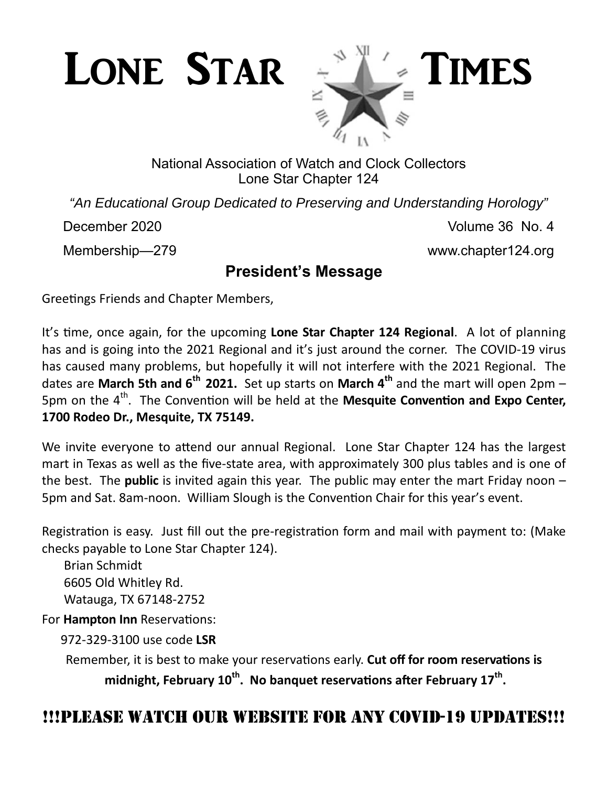

### National Association of Watch and Clock Collectors Lone Star Chapter 124

*"An Educational Group Dedicated to Preserving and Understanding Horology"* 

December 2020 Volume 36 No. 4

Membership—279 www.chapter124.org

## **President's Message**

Greetings Friends and Chapter Members,

It's time, once again, for the upcoming Lone Star Chapter 124 Regional. A lot of planning has and is going into the 2021 Regional and it's just around the corner. The COVID-19 virus has caused many problems, but hopefully it will not interfere with the 2021 Regional. The dates are **March 5th and 6<sup>th</sup> 2021.** Set up starts on **March 4<sup>th</sup> and the mart will open 2pm –** 5pm on the 4<sup>th</sup>. The Convention will be held at the Mesquite Convention and Expo Center, **1700 Rodeo Dr., Mesquite, TX 75149.** 

We invite everyone to attend our annual Regional. Lone Star Chapter 124 has the largest mart in Texas as well as the five‐state area, with approximately 300 plus tables and is one of the best. The **public** is invited again this year. The public may enter the mart Friday noon – 5pm and Sat. 8am-noon. William Slough is the Convention Chair for this year's event.

Registration is easy. Just fill out the pre-registration form and mail with payment to: (Make checks payable to Lone Star Chapter 124).

 Brian Schmidt 6605 Old Whitley Rd. Watauga, TX 67148‐2752

For **Hampton Inn** Reservations:

972‐329‐3100 use code **LSR**

Remember, it is best to make your reservations early. **Cut off for room reservations is** midnight, February 10<sup>th</sup>. No banquet reservations after February 17<sup>th</sup>.

# !!!PLEASE WATCH OUR WEBSITE FOR ANY COVID-19 UPDATES!!!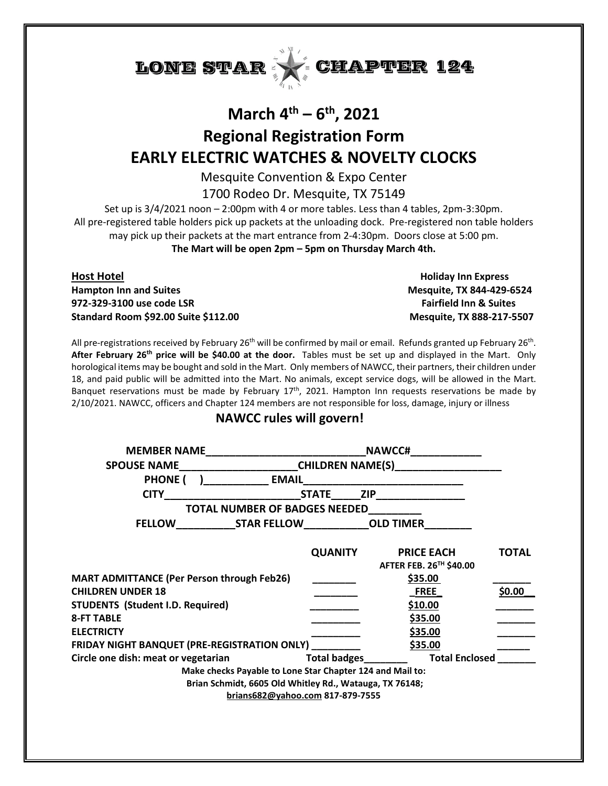

# **March 4th – 6th, 2021 Regional Registration Form EARLY ELECTRIC WATCHES & NOVELTY CLOCKS**

Mesquite Convention & Expo Center

1700 Rodeo Dr. Mesquite, TX 75149

Set up is 3/4/2021 noon – 2:00pm with 4 or more tables. Less than 4 tables, 2pm-3:30pm. All pre-registered table holders pick up packets at the unloading dock. Pre-registered non table holders may pick up their packets at the mart entrance from 2-4:30pm. Doors close at 5:00 pm. **The Mart will be open 2pm – 5pm on Thursday March 4th.**

**Host Hotel Holiday Inn Express Hampton Inn and Suites Mesquite, TX 844-429-6524 972-329-3100 use code LSR Fairfield Inn & Suites Standard Room \$92.00 Suite \$112.00 Mesquite, TX 888-217-5507**

All pre-registrations received by February 26<sup>th</sup> will be confirmed by mail or email. Refunds granted up February 26<sup>th</sup>. **After February 26th price will be \$40.00 at the door.** Tables must be set up and displayed in the Mart. Only horological items may be bought and sold in the Mart. Only members of NAWCC, their partners, their children under 18, and paid public will be admitted into the Mart. No animals, except service dogs, will be allowed in the Mart. Banquet reservations must be made by February  $17<sup>th</sup>$ , 2021. Hampton Inn requests reservations be made by 2/10/2021. NAWCC, officers and Chapter 124 members are not responsible for loss, damage, injury or illness

#### **NAWCC rules will govern!**

|                                                           |                | NAWCC#_____________                                             |              |
|-----------------------------------------------------------|----------------|-----------------------------------------------------------------|--------------|
| <b>SPOUSE NAME</b>                                        |                | _________________________CHILDREN NAME(S)______________________ |              |
| PHONE ( ) EMAIL                                           |                |                                                                 |              |
| <b>CITY</b>                                               |                |                                                                 |              |
| TOTAL NUMBER OF BADGES NEEDED                             |                |                                                                 |              |
|                                                           |                |                                                                 |              |
|                                                           | <b>QUANITY</b> | <b>PRICE EACH</b>                                               | <b>TOTAL</b> |
|                                                           |                | AFTER FEB. 26 <sup>TH</sup> \$40.00                             |              |
| <b>MART ADMITTANCE (Per Person through Feb26)</b>         |                | \$35.00                                                         |              |
| <b>CHILDREN UNDER 18</b>                                  |                | <b>FREE</b>                                                     | \$0.00]      |
| <b>STUDENTS (Student I.D. Required)</b>                   |                | \$10.00                                                         |              |
| <b>8-FT TABLE</b>                                         |                | \$35.00                                                         |              |
| <b>ELECTRICTY</b>                                         |                | \$35.00                                                         |              |
| FRIDAY NIGHT BANQUET (PRE-REGISTRATION ONLY)              |                | \$35.00                                                         |              |
| Circle one dish: meat or vegetarian                       | Total badges   | <b>Total Enclosed</b>                                           |              |
| Make checks Payable to Lone Star Chapter 124 and Mail to: |                |                                                                 |              |
| Brian Schmidt, 6605 Old Whitley Rd., Watauga, TX 76148;   |                |                                                                 |              |
| brians682@yahoo.com 817-879-7555                          |                |                                                                 |              |
|                                                           |                |                                                                 |              |
|                                                           |                |                                                                 |              |
|                                                           |                |                                                                 |              |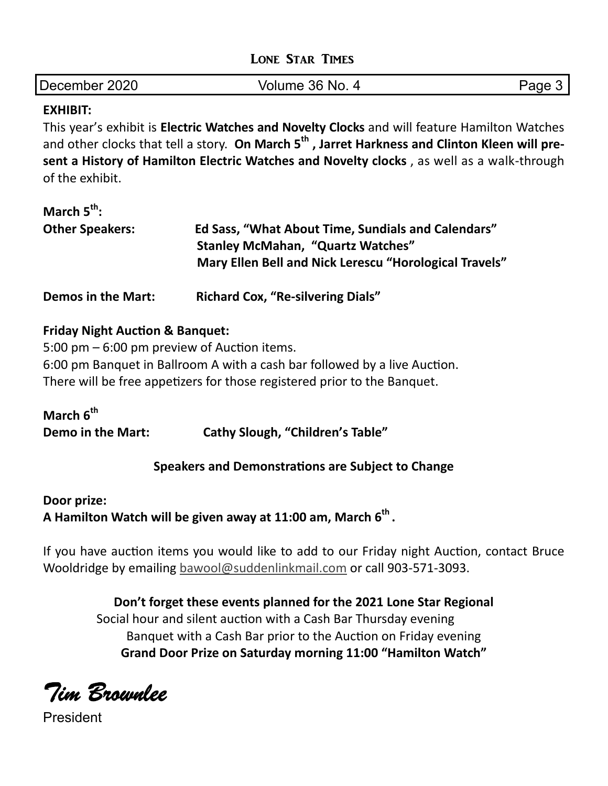|  |  | <b>LONE STAR TIMES</b> |
|--|--|------------------------|
|--|--|------------------------|

| December 2020 | Volume 36 No. | Page |
|---------------|---------------|------|
|               |               |      |

#### **EXHIBIT:**

This year's exhibit is **Electric Watches and Novelty Clocks** and will feature Hamilton Watches and other clocks that tell a story. On March 5<sup>th</sup>, Jarret Harkness and Clinton Kleen will pre**sent a History of Hamilton Electric Watches and Novelty clocks** , as well as a walk‐through of the exhibit.

| March $5^{th}$ :          |                                                                                                                                                          |  |
|---------------------------|----------------------------------------------------------------------------------------------------------------------------------------------------------|--|
| <b>Other Speakers:</b>    | Ed Sass, "What About Time, Sundials and Calendars"<br><b>Stanley McMahan, "Quartz Watches"</b><br>Mary Ellen Bell and Nick Lerescu "Horological Travels" |  |
| <b>Demos in the Mart:</b> | <b>Richard Cox, "Re-silvering Dials"</b>                                                                                                                 |  |

#### **Friday Night Auction & Banquet:**

 $5:00$  pm  $-6:00$  pm preview of Auction items. 6:00 pm Banquet in Ballroom A with a cash bar followed by a live Auction. There will be free appetizers for those registered prior to the Banquet.

| March 6 <sup>th</sup> |                                         |
|-----------------------|-----------------------------------------|
| Demo in the Mart:     | <b>Cathy Slough, "Children's Table"</b> |

#### **Speakers and Demonstrations are Subject to Change**

#### **Door prize:**

A Hamilton Watch will be given away at 11:00 am, March 6<sup>th</sup>.

If you have auction items you would like to add to our Friday night Auction, contact Bruce Wooldridge by emailing bawool@suddenlinkmail.com or call 903‐571‐3093.

**Don't forget these events planned for the 2021 Lone Star Regional**  Social hour and silent auction with a Cash Bar Thursday evening Banquet with a Cash Bar prior to the Auction on Friday evening **Grand Door Prize on Saturday morning 11:00 "Hamilton Watch"**

*Tim Brownlee* 

President